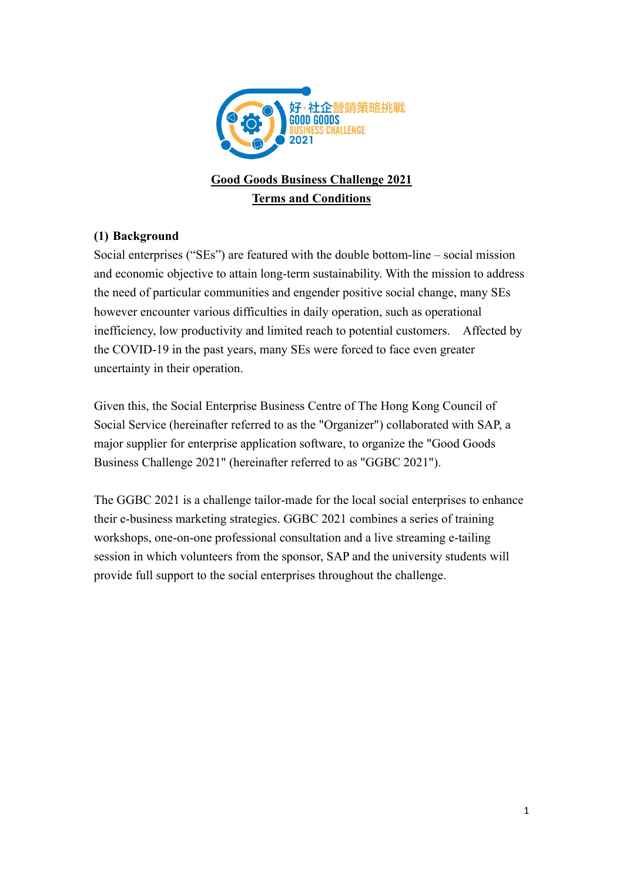

# **Good Goods Business Challenge 2021 Terms and Conditions**

### **(1) Background**

Social enterprises ("SEs") are featured with the double bottom-line – social mission and economic objective to attain long-term sustainability. With the mission to address the need of particular communities and engender positive social change, many SEs however encounter various difficulties in daily operation, such as operational inefficiency, low productivity and limited reach to potential customers. Affected by the COVID-19 in the past years, many SEs were forced to face even greater uncertainty in their operation.

Given this, the Social Enterprise Business Centre of The Hong Kong Council of Social Service (hereinafter referred to as the "Organizer") collaborated with SAP, a major supplier for enterprise application software, to organize the "Good Goods Business Challenge 2021" (hereinafter referred to as "GGBC 2021").

The GGBC 2021 is a challenge tailor-made for the local social enterprises to enhance their e-business marketing strategies. GGBC 2021 combines a series of training workshops, one-on-one professional consultation and a live streaming e-tailing session in which volunteers from the sponsor, SAP and the university students will provide full support to the social enterprises throughout the challenge.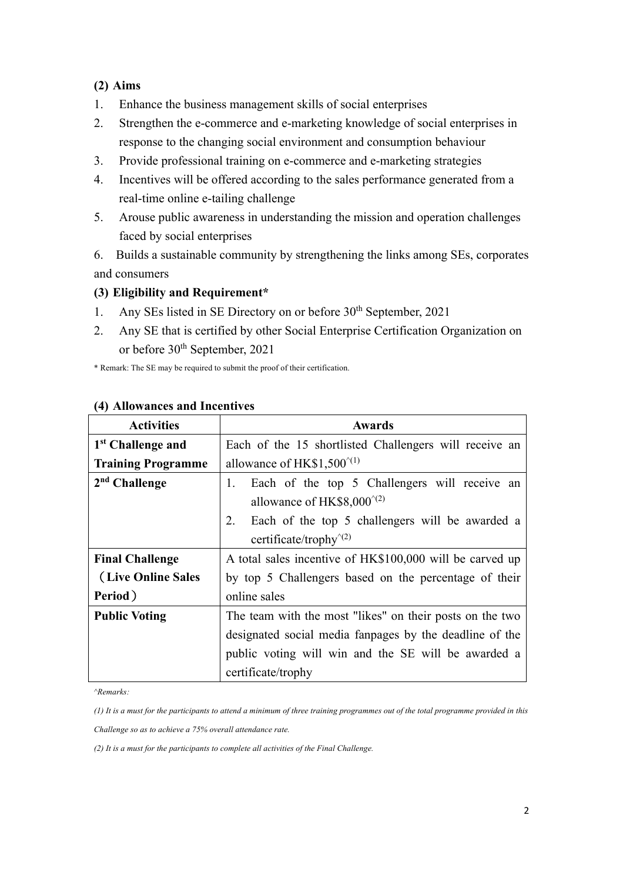#### **(2) Aims**

- 1. Enhance the business management skills of social enterprises
- 2. Strengthen the e-commerce and e-marketing knowledge of social enterprises in response to the changing social environment and consumption behaviour
- 3. Provide professional training on e-commerce and e-marketing strategies
- 4. Incentives will be offered according to the sales performance generated from a real-time online e-tailing challenge
- 5. Arouse public awareness in understanding the mission and operation challenges faced by social enterprises
- 6. Builds a sustainable community by strengthening the links among SEs, corporates and consumers

### **(3) Eligibility and Requirement\***

- 1. Any SEs listed in SE Directory on or before 30<sup>th</sup> September, 2021
- 2. Any SE that is certified by other Social Enterprise Certification Organization on or before 30<sup>th</sup> September, 2021

\* Remark: The SE may be required to submit the proof of their certification.

| <b>Activities</b>             | <b>Awards</b>                                            |  |  |  |  |
|-------------------------------|----------------------------------------------------------|--|--|--|--|
| 1 <sup>st</sup> Challenge and | Each of the 15 shortlisted Challengers will receive an   |  |  |  |  |
| <b>Training Programme</b>     | allowance of HK\$1,500 $^{\prime(1)}$                    |  |  |  |  |
| $2nd$ Challenge               | Each of the top 5 Challengers will receive an<br>1.      |  |  |  |  |
|                               | allowance of HK\$8,000 $^{\text{\tiny (2)}}$             |  |  |  |  |
|                               | Each of the top 5 challengers will be awarded a<br>2.    |  |  |  |  |
|                               | certificate/trophy <sup><math>\gamma</math>(2)</sup>     |  |  |  |  |
| <b>Final Challenge</b>        | A total sales incentive of HK\$100,000 will be carved up |  |  |  |  |
| (Live Online Sales            | by top 5 Challengers based on the percentage of their    |  |  |  |  |
| Period)                       | online sales                                             |  |  |  |  |
| <b>Public Voting</b>          | The team with the most "likes" on their posts on the two |  |  |  |  |
|                               | designated social media fan pages by the deadline of the |  |  |  |  |
|                               | public voting will win and the SE will be awarded a      |  |  |  |  |
|                               | certificate/trophy                                       |  |  |  |  |

### **(4) Allowances and Incentives**

*^Remarks:*

*(1) It is a must for the participants to attend a minimum of three training programmes out of the total programme provided in this* 

*Challenge so as to achieve a 75% overall attendance rate.*

*(2) It is a must for the participants to complete all activities of the Final Challenge.*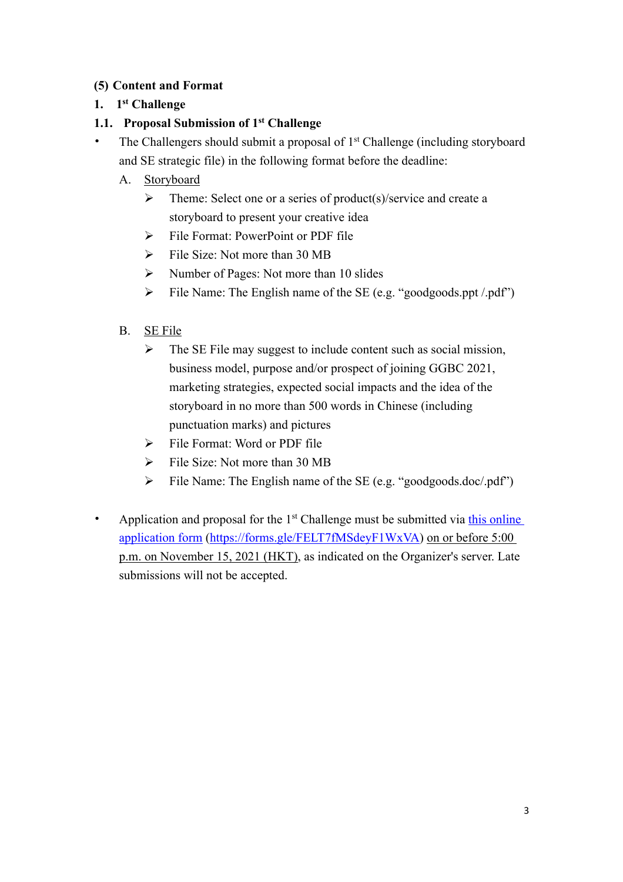### **(5) Content and Format**

### **1. 1st Challenge**

### **1.1. Proposal Submission of 1st Challenge**

- The Challengers should submit a proposal of  $1<sup>st</sup>$  Challenge (including storyboard and SE strategic file) in the following format before the deadline:
	- A. Storyboard
		- $\triangleright$  Theme: Select one or a series of product(s)/service and create a storyboard to present your creative idea
		- $\triangleright$  File Format: PowerPoint or PDF file
		- $\triangleright$  File Size: Not more than 30 MB
		- $\triangleright$  Number of Pages: Not more than 10 slides
		- $\triangleright$  File Name: The English name of the SE (e.g. "goodgoods.ppt /.pdf")
	- B. SE File
		- $\triangleright$  The SE File may suggest to include content such as social mission, business model, purpose and/or prospect of joining GGBC 2021, marketing strategies, expected social impacts and the idea of the storyboard in no more than 500 words in Chinese (including punctuation marks) and pictures
		- $\triangleright$  File Format: Word or PDF file
		- $\triangleright$  File Size: Not more than 30 MB
		- $\triangleright$  File Name: The English name of the SE (e.g. "goodgoods.doc/.pdf")
- Application and proposal for the  $1<sup>st</sup>$  Challenge must be submitted via this online application form (https://forms.gle/FELT7fMSdeyF1WxVA) on or before 5:00 p.m. on November 15, 2021 (HKT), as indicated on the Organizer's server. Late submissions will not be accepted.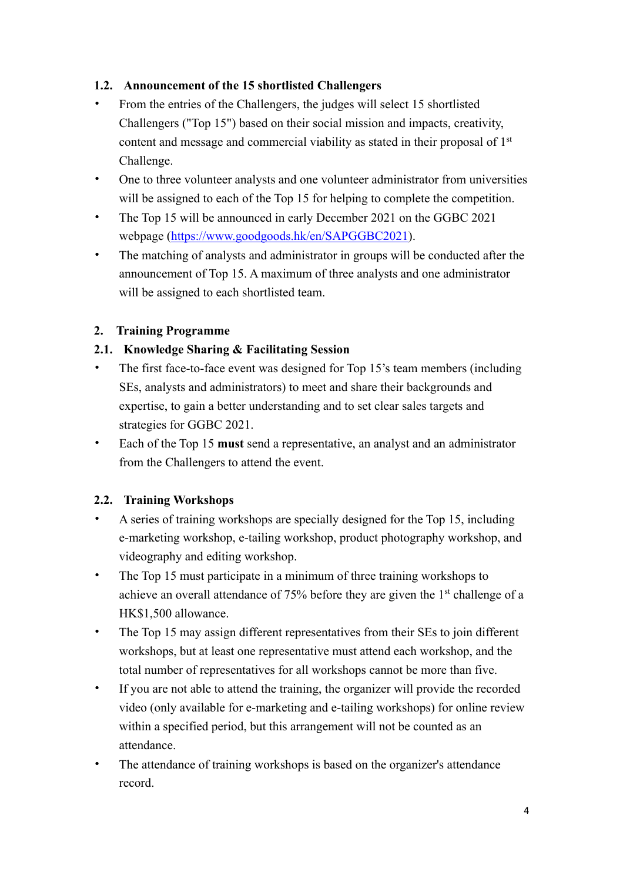### **1.2. Announcement of the 15 shortlisted Challengers**

- From the entries of the Challengers, the judges will select 15 shortlisted Challengers ("Top 15") based on their social mission and impacts, creativity, content and message and commercial viability as stated in their proposal of 1<sup>st</sup> Challenge.
- One to three volunteer analysts and one volunteer administrator from universities will be assigned to each of the Top 15 for helping to complete the competition.
- The Top 15 will be announced in early December 2021 on the GGBC 2021 webpage (https://www.goodgoods.hk/en/SAPGGBC2021).
- The matching of analysts and administrator in groups will be conducted after the announcement of Top 15. A maximum of three analysts and one administrator will be assigned to each shortlisted team.

### **2. Training Programme**

### **2.1. Knowledge Sharing & Facilitating Session**

- The first face-to-face event was designed for Top 15's team members (including SEs, analysts and administrators) to meet and share their backgrounds and expertise, to gain a better understanding and to set clear sales targets and strategies for GGBC 2021.
- Each of the Top 15 **must** send a representative, an analyst and an administrator from the Challengers to attend the event.

#### **2.2. Training Workshops**

- A series of training workshops are specially designed for the Top 15, including e-marketing workshop, e-tailing workshop, product photography workshop, and videography and editing workshop.
- The Top 15 must participate in a minimum of three training workshops to achieve an overall attendance of 75% before they are given the 1st challenge of a HK\$1,500 allowance.
- The Top 15 may assign different representatives from their SEs to join different workshops, but at least one representative must attend each workshop, and the total number of representatives for all workshops cannot be more than five.
- If you are not able to attend the training, the organizer will provide the recorded video (only available for e-marketing and e-tailing workshops) for online review within a specified period, but this arrangement will not be counted as an attendance.
- The attendance of training workshops is based on the organizer's attendance record.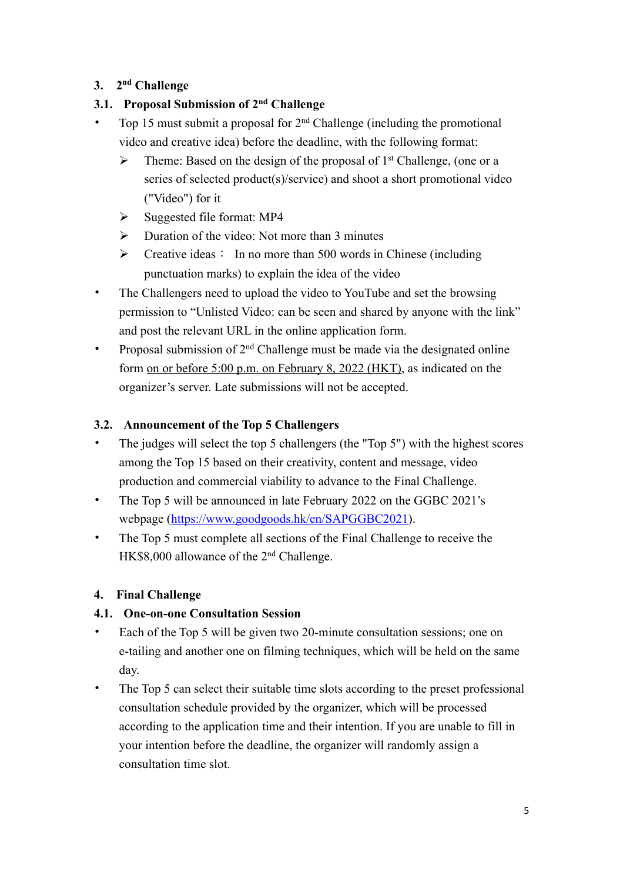### **3. 2nd Challenge**

### **3.1. Proposal Submission of 2nd Challenge**

- Top 15 must submit a proposal for  $2<sup>nd</sup>$  Challenge (including the promotional video and creative idea) before the deadline, with the following format:
	- $\triangleright$  Theme: Based on the design of the proposal of 1<sup>st</sup> Challenge, (one or a series of selected product(s)/service) and shoot a short promotional video ("Video") for it
	- $\triangleright$  Suggested file format: MP4
	- $\triangleright$  Duration of the video: Not more than 3 minutes
	- $\triangleright$  Creative ideas: In no more than 500 words in Chinese (including punctuation marks) to explain the idea of the video
- The Challengers need to upload the video to YouTube and set the browsing permission to "Unlisted Video: can be seen and shared by anyone with the link" and post the relevant URL in the online application form.
- Proposal submission of  $2<sup>nd</sup>$  Challenge must be made via the designated online form on or before 5:00 p.m. on February 8, 2022 (HKT), as indicated on the organizer's server. Late submissions will not be accepted.

### **3.2. Announcement of the Top 5 Challengers**

- The judges will select the top 5 challengers (the "Top 5") with the highest scores among the Top 15 based on their creativity, content and message, video production and commercial viability to advance to the Final Challenge.
- The Top 5 will be announced in late February 2022 on the GGBC 2021's webpage (https://www.goodgoods.hk/en/SAPGGBC2021).
- The Top 5 must complete all sections of the Final Challenge to receive the HK\$8,000 allowance of the 2<sup>nd</sup> Challenge.

### **4. Final Challenge**

## **4.1. One-on-one Consultation Session**

- Each of the Top 5 will be given two 20-minute consultation sessions; one on e-tailing and another one on filming techniques, which will be held on the same day.
- The Top 5 can select their suitable time slots according to the preset professional consultation schedule provided by the organizer, which will be processed according to the application time and their intention. If you are unable to fill in your intention before the deadline, the organizer will randomly assign a consultation time slot.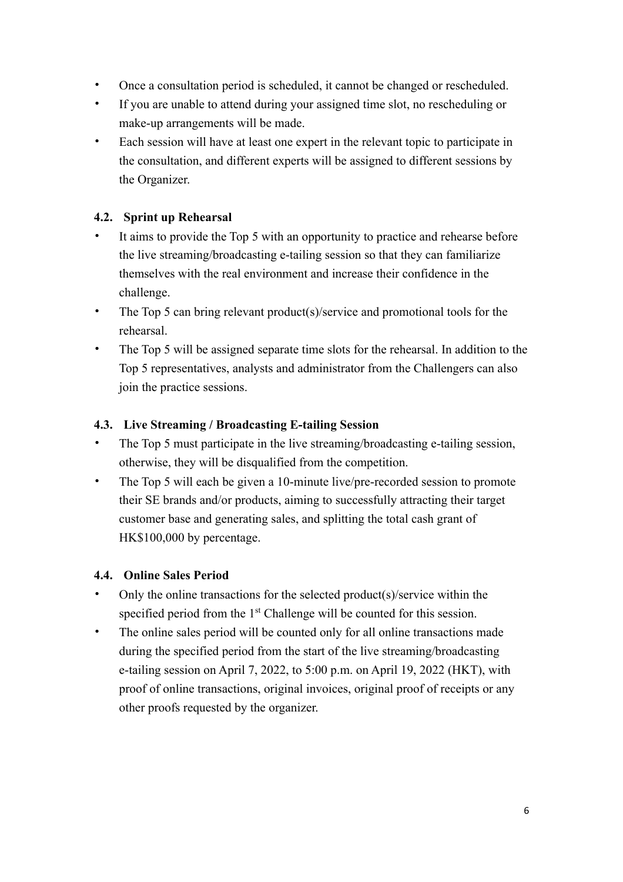- Once a consultation period is scheduled, it cannot be changed or rescheduled.
- If you are unable to attend during your assigned time slot, no rescheduling or make-up arrangements will be made.
- Each session will have at least one expert in the relevant topic to participate in the consultation, and different experts will be assigned to different sessions by the Organizer.

### **4.2. Sprint up Rehearsal**

- It aims to provide the Top 5 with an opportunity to practice and rehearse before the live streaming/broadcasting e-tailing session so that they can familiarize themselves with the real environment and increase their confidence in the challenge.
- The Top 5 can bring relevant product(s)/service and promotional tools for the rehearsal.
- The Top 5 will be assigned separate time slots for the rehearsal. In addition to the Top 5 representatives, analysts and administrator from the Challengers can also join the practice sessions.

### **4.3. Live Streaming / Broadcasting E-tailing Session**

- The Top 5 must participate in the live streaming/broadcasting e-tailing session, otherwise, they will be disqualified from the competition.
- The Top 5 will each be given a 10-minute live/pre-recorded session to promote their SE brands and/or products, aiming to successfully attracting their target customer base and generating sales, and splitting the total cash grant of HK\$100,000 by percentage.

#### **4.4. Online Sales Period**

- Only the online transactions for the selected product(s)/service within the specified period from the 1<sup>st</sup> Challenge will be counted for this session.
- The online sales period will be counted only for all online transactions made during the specified period from the start of the live streaming/broadcasting e-tailing session on April 7, 2022, to 5:00 p.m. on April 19, 2022 (HKT), with proof of online transactions, original invoices, original proof of receipts or any other proofs requested by the organizer.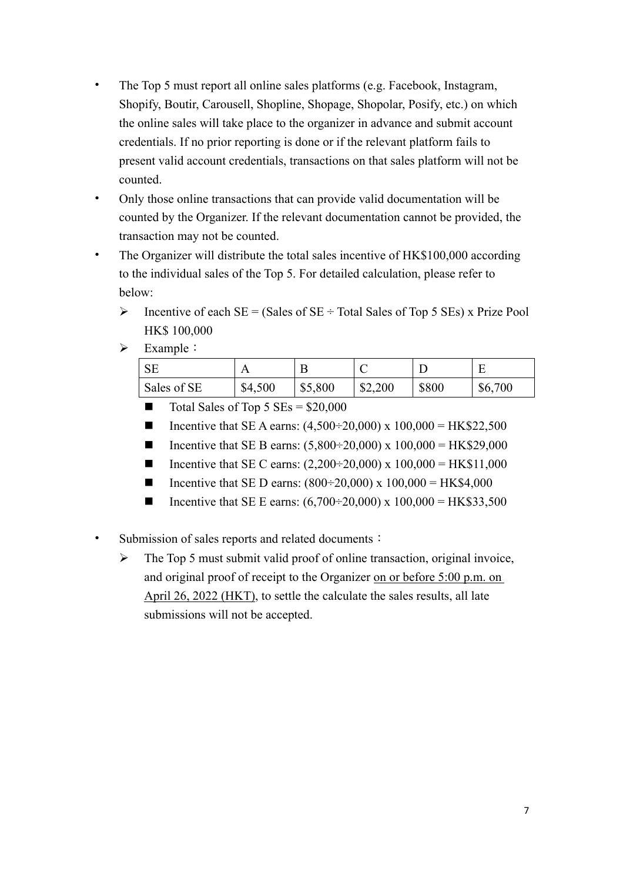- The Top 5 must report all online sales platforms (e.g. Facebook, Instagram, Shopify, Boutir, Carousell, Shopline, Shopage, Shopolar, Posify, etc.) on which the online sales will take place to the organizer in advance and submit account credentials. If no prior reporting is done or if the relevant platform fails to present valid account credentials, transactions on that sales platform will not be counted.
- Only those online transactions that can provide valid documentation will be counted by the Organizer. If the relevant documentation cannot be provided, the transaction may not be counted.
- The Organizer will distribute the total sales incentive of HK\$100,000 according to the individual sales of the Top 5. For detailed calculation, please refer to below:
	- $\triangleright$  Incentive of each SE = (Sales of SE ÷ Total Sales of Top 5 SEs) x Prize Pool HK\$ 100,000
	- $\triangleright$  Example :

| $C\Gamma$<br>DЕ | A       |         | ╰       |       |         |
|-----------------|---------|---------|---------|-------|---------|
| Sales of SE     | \$4,500 | \$5,800 | \$2,200 | \$800 | \$6,700 |

- $\blacksquare$  Total Sales of Top 5 SEs = \$20,000
- Incentive that SE A earns:  $(4,500 \div 20,000)$  x  $100,000 = \text{HK$}22,500$
- Incentive that SE B earns:  $(5,800 \div 20,000)$  x  $100,000 = \text{HK$}29,000$
- Incentive that SE C earns:  $(2,200 \div 20,000)$  x  $100,000 = \text{HK$11,000}$
- **n** Incentive that SE D earns:  $(800 \div 20,000)$  x  $100,000 = \text{HK$4,000}$
- Incentive that SE E earns:  $(6,700 \div 20,000)$  x  $100,000 = \text{HK$33,500}$
- Submission of sales reports and related documents:
	- $\triangleright$  The Top 5 must submit valid proof of online transaction, original invoice, and original proof of receipt to the Organizer on or before 5:00 p.m. on April 26, 2022 (HKT), to settle the calculate the sales results, all late submissions will not be accepted.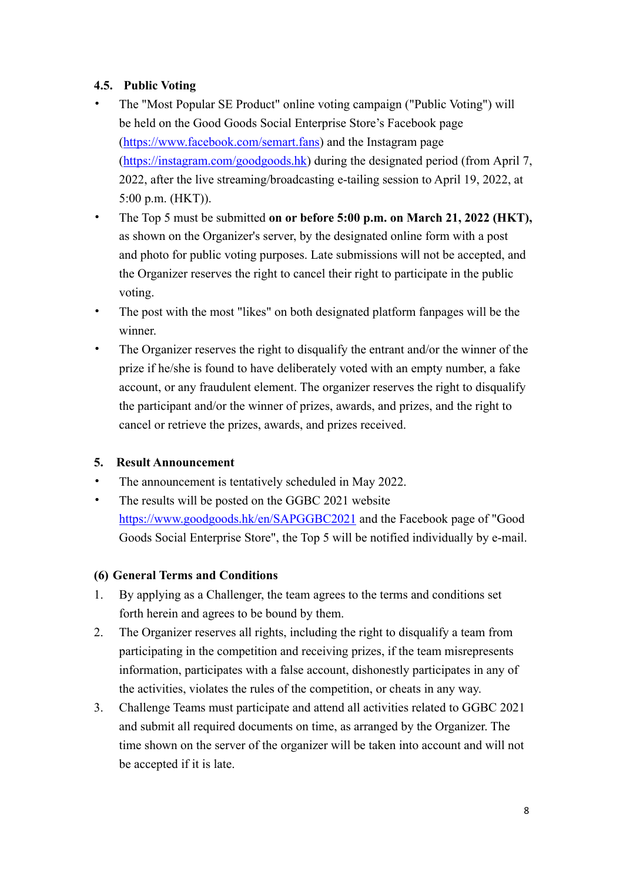### **4.5. Public Voting**

- The "Most Popular SE Product" online voting campaign ("Public Voting") will be held on the Good Goods Social Enterprise Store's Facebook page (https://www.facebook.com/semart.fans) and the Instagram page (https://instagram.com/goodgoods.hk) during the designated period (from April 7, 2022, after the live streaming/broadcasting e-tailing session to April 19, 2022, at 5:00 p.m. (HKT)).
- The Top 5 must be submitted **on or before 5:00 p.m. on March 21, 2022 (HKT),** as shown on the Organizer's server, by the designated online form with a post and photo for public voting purposes. Late submissions will not be accepted, and the Organizer reserves the right to cancel their right to participate in the public voting.
- The post with the most "likes" on both designated platform fanpages will be the winner.
- The Organizer reserves the right to disqualify the entrant and/or the winner of the prize if he/she is found to have deliberately voted with an empty number, a fake account, or any fraudulent element. The organizer reserves the right to disqualify the participant and/or the winner of prizes, awards, and prizes, and the right to cancel or retrieve the prizes, awards, and prizes received.

#### **5. Result Announcement**

- The announcement is tentatively scheduled in May 2022.
- The results will be posted on the GGBC 2021 website https://www.goodgoods.hk/en/SAPGGBC2021 and the Facebook page of "Good Goods Social Enterprise Store", the Top 5 will be notified individually by e-mail.

#### **(6) General Terms and Conditions**

- 1. By applying as a Challenger, the team agrees to the terms and conditions set forth herein and agrees to be bound by them.
- 2. The Organizer reserves all rights, including the right to disqualify a team from participating in the competition and receiving prizes, if the team misrepresents information, participates with a false account, dishonestly participates in any of the activities, violates the rules of the competition, or cheats in any way.
- 3. Challenge Teams must participate and attend all activities related to GGBC 2021 and submit all required documents on time, as arranged by the Organizer. The time shown on the server of the organizer will be taken into account and will not be accepted if it is late.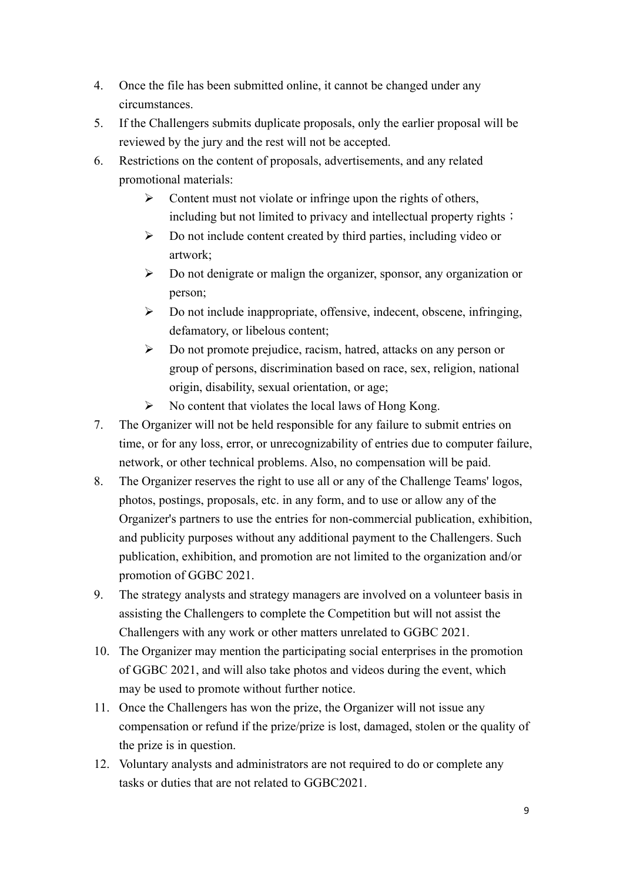- 4. Once the file has been submitted online, it cannot be changed under any circumstances.
- 5. If the Challengers submits duplicate proposals, only the earlier proposal will be reviewed by the jury and the rest will not be accepted.
- 6. Restrictions on the content of proposals, advertisements, and any related promotional materials:
	- $\triangleright$  Content must not violate or infringe upon the rights of others, including but not limited to privacy and intellectual property rights;
	- $\triangleright$  Do not include content created by third parties, including video or artwork;
	- $\triangleright$  Do not denigrate or malign the organizer, sponsor, any organization or person;
	- $\triangleright$  Do not include inappropriate, offensive, indecent, obscene, infringing, defamatory, or libelous content;
	- $\triangleright$  Do not promote prejudice, racism, hatred, attacks on any person or group of persons, discrimination based on race, sex, religion, national origin, disability, sexual orientation, or age;
	- $\triangleright$  No content that violates the local laws of Hong Kong.
- 7. The Organizer will not be held responsible for any failure to submit entries on time, or for any loss, error, or unrecognizability of entries due to computer failure, network, or other technical problems. Also, no compensation will be paid.
- 8. The Organizer reserves the right to use all or any of the Challenge Teams' logos, photos, postings, proposals, etc. in any form, and to use or allow any of the Organizer's partners to use the entries for non-commercial publication, exhibition, and publicity purposes without any additional payment to the Challengers. Such publication, exhibition, and promotion are not limited to the organization and/or promotion of GGBC 2021.
- 9. The strategy analysts and strategy managers are involved on a volunteer basis in assisting the Challengers to complete the Competition but will not assist the Challengers with any work or other matters unrelated to GGBC 2021.
- 10. The Organizer may mention the participating social enterprises in the promotion of GGBC 2021, and will also take photos and videos during the event, which may be used to promote without further notice.
- 11. Once the Challengers has won the prize, the Organizer will not issue any compensation or refund if the prize/prize is lost, damaged, stolen or the quality of the prize is in question.
- 12. Voluntary analysts and administrators are not required to do or complete any tasks or duties that are not related to GGBC2021.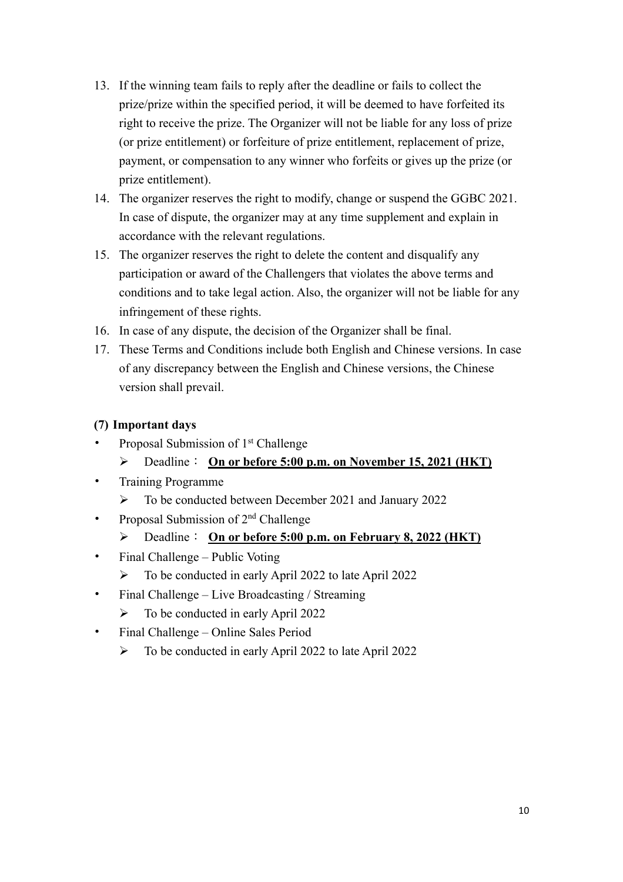- 13. If the winning team fails to reply after the deadline or fails to collect the prize/prize within the specified period, it will be deemed to have forfeited its right to receive the prize. The Organizer will not be liable for any loss of prize (or prize entitlement) or forfeiture of prize entitlement, replacement of prize, payment, or compensation to any winner who forfeits or gives up the prize (or prize entitlement).
- 14. The organizer reserves the right to modify, change or suspend the GGBC 2021. In case of dispute, the organizer may at any time supplement and explain in accordance with the relevant regulations.
- 15. The organizer reserves the right to delete the content and disqualify any participation or award of the Challengers that violates the above terms and conditions and to take legal action. Also, the organizer will not be liable for any infringement of these rights.
- 16. In case of any dispute, the decision of the Organizer shall be final.
- 17. These Terms and Conditions include both English and Chinese versions. In case of any discrepancy between the English and Chinese versions, the Chinese version shall prevail.

#### **(7) Important days**

- Proposal Submission of 1<sup>st</sup> Challenge
	- Ø Deadline: **On or before 5:00 p.m. on November 15, 2021 (HKT)**
- Training Programme
	- Ø To be conducted between December 2021 and January 2022
- Proposal Submission of 2nd Challenge
	- Ø Deadline: **On or before 5:00 p.m. on February 8, 2022 (HKT)**
- Final Challenge Public Voting
	- $\triangleright$  To be conducted in early April 2022 to late April 2022
- Final Challenge Live Broadcasting / Streaming
	- $\triangleright$  To be conducted in early April 2022
- Final Challenge Online Sales Period
	- $\triangleright$  To be conducted in early April 2022 to late April 2022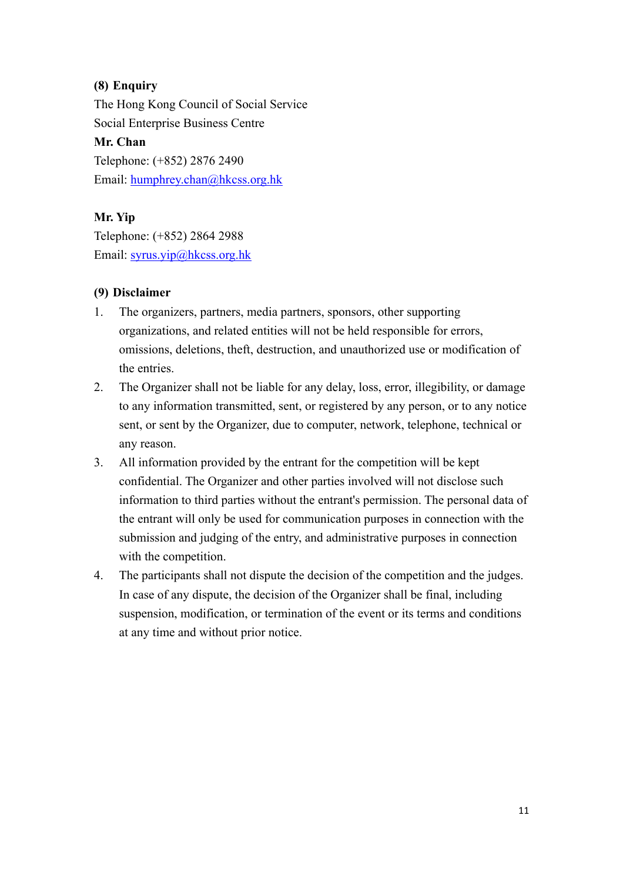### **(8) Enquiry**

The Hong Kong Council of Social Service Social Enterprise Business Centre **Mr. Chan** Telephone: (+852) 2876 2490

Email: humphrey.chan@hkcss.org.hk

### **Mr. Yip**

Telephone: (+852) 2864 2988 Email: syrus.yip@hkcss.org.hk

#### **(9) Disclaimer**

- 1. The organizers, partners, media partners, sponsors, other supporting organizations, and related entities will not be held responsible for errors, omissions, deletions, theft, destruction, and unauthorized use or modification of the entries.
- 2. The Organizer shall not be liable for any delay, loss, error, illegibility, or damage to any information transmitted, sent, or registered by any person, or to any notice sent, or sent by the Organizer, due to computer, network, telephone, technical or any reason.
- 3. All information provided by the entrant for the competition will be kept confidential. The Organizer and other parties involved will not disclose such information to third parties without the entrant's permission. The personal data of the entrant will only be used for communication purposes in connection with the submission and judging of the entry, and administrative purposes in connection with the competition.
- 4. The participants shall not dispute the decision of the competition and the judges. In case of any dispute, the decision of the Organizer shall be final, including suspension, modification, or termination of the event or its terms and conditions at any time and without prior notice.